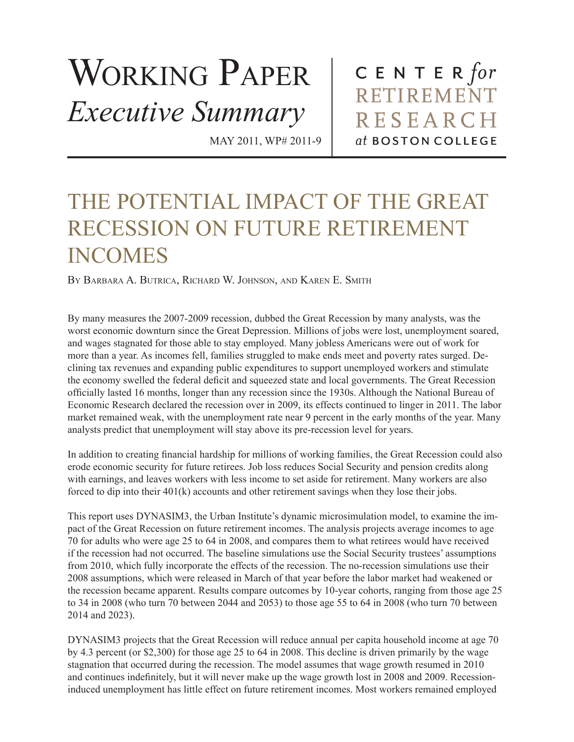## WORKING PAPER *Executive Summary*

MAY 2011, WP# 2011-9

CENTER for RETIREMENT **RESEARCH** at BOSTON COLLEGE

## THE POTENTIAL IMPACT OF THE GREAT RECESSION ON FUTURE RETIREMENT INCOMES

By Barbara A. Butrica, Richard W. Johnson, and Karen E. Smith

By many measures the 2007-2009 recession, dubbed the Great Recession by many analysts, was the worst economic downturn since the Great Depression. Millions of jobs were lost, unemployment soared, and wages stagnated for those able to stay employed. Many jobless Americans were out of work for more than a year. As incomes fell, families struggled to make ends meet and poverty rates surged. Declining tax revenues and expanding public expenditures to support unemployed workers and stimulate the economy swelled the federal deficit and squeezed state and local governments. The Great Recession officially lasted 16 months, longer than any recession since the 1930s. Although the National Bureau of Economic Research declared the recession over in 2009, its effects continued to linger in 2011. The labor market remained weak, with the unemployment rate near 9 percent in the early months of the year. Many analysts predict that unemployment will stay above its pre-recession level for years.

In addition to creating financial hardship for millions of working families, the Great Recession could also erode economic security for future retirees. Job loss reduces Social Security and pension credits along with earnings, and leaves workers with less income to set aside for retirement. Many workers are also forced to dip into their 401(k) accounts and other retirement savings when they lose their jobs.

This report uses DYNASIM3, the Urban Institute's dynamic microsimulation model, to examine the impact of the Great Recession on future retirement incomes. The analysis projects average incomes to age 70 for adults who were age 25 to 64 in 2008, and compares them to what retirees would have received if the recession had not occurred. The baseline simulations use the Social Security trustees' assumptions from 2010, which fully incorporate the effects of the recession. The no-recession simulations use their 2008 assumptions, which were released in March of that year before the labor market had weakened or the recession became apparent. Results compare outcomes by 10-year cohorts, ranging from those age 25 to 34 in 2008 (who turn 70 between 2044 and 2053) to those age 55 to 64 in 2008 (who turn 70 between 2014 and 2023).

DYNASIM3 projects that the Great Recession will reduce annual per capita household income at age 70 by 4.3 percent (or \$2,300) for those age 25 to 64 in 2008. This decline is driven primarily by the wage stagnation that occurred during the recession. The model assumes that wage growth resumed in 2010 and continues indefinitely, but it will never make up the wage growth lost in 2008 and 2009. Recessioninduced unemployment has little effect on future retirement incomes. Most workers remained employed